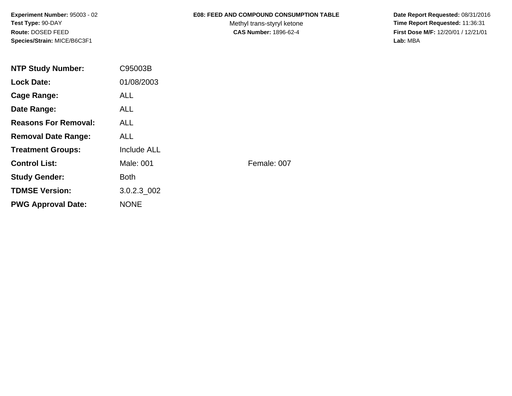**Experiment Number:** 95003 - 02**Test Type:** 90-DAY**Route:** DOSED FEED**Species/Strain:** MICE/B6C3F1

### **E08: FEED AND COMPOUND CONSUMPTION TABLE**

Methyl trans-styryl ketone<br>CAS Number: 1896-62-4

 **Date Report Requested:** 08/31/2016 **Time Report Requested:** 11:36:31 **First Dose M/F:** 12/20/01 / 12/21/01<br>Lab: MBA **Lab:** MBA

| <b>NTP Study Number:</b>    | C95003B            |             |
|-----------------------------|--------------------|-------------|
| <b>Lock Date:</b>           | 01/08/2003         |             |
| Cage Range:                 | <b>ALL</b>         |             |
| Date Range:                 | ALL.               |             |
| <b>Reasons For Removal:</b> | <b>ALL</b>         |             |
| <b>Removal Date Range:</b>  | <b>ALL</b>         |             |
| <b>Treatment Groups:</b>    | <b>Include ALL</b> |             |
| <b>Control List:</b>        | Male: 001          | Female: 007 |
| <b>Study Gender:</b>        | <b>Both</b>        |             |
| <b>TDMSE Version:</b>       | 3.0.2.3 002        |             |
| <b>PWG Approval Date:</b>   | <b>NONE</b>        |             |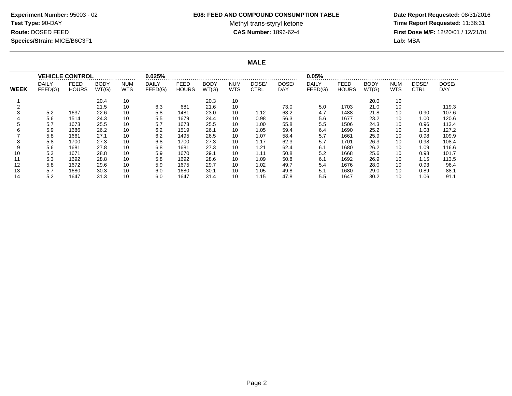#### **E08: FEED AND COMPOUND CONSUMPTION TABLE**

Methyl trans-styryl ketone<br>CAS Number: 1896-62-4

 **Date Report Requested:** 08/31/2016 **Time Report Requested:** 11:36:31 **First Dose M/F:** 12/20/01 / 12/21/01<br>**Lab:** MBA **Lab:** MBA

**MALE**

|             | <b>VEHICLE CONTROL</b>  |                      |                      |                          | 0.025%                  |                             |                      |                          |               |              | 0.05%                   |                      |                      |                          |                      |                     |  |
|-------------|-------------------------|----------------------|----------------------|--------------------------|-------------------------|-----------------------------|----------------------|--------------------------|---------------|--------------|-------------------------|----------------------|----------------------|--------------------------|----------------------|---------------------|--|
| <b>WEEK</b> | <b>DAILY</b><br>FEED(G) | FEED<br><b>HOURS</b> | <b>BODY</b><br>WT(G) | <b>NUM</b><br><b>WTS</b> | <b>DAILY</b><br>FEED(G) | <b>FEED</b><br><b>HOURS</b> | <b>BODY</b><br>WT(G) | <b>NUM</b><br><b>WTS</b> | DOSE/<br>CTRL | DOSE/<br>DAY | <b>DAILY</b><br>FEED(G) | FEED<br><b>HOURS</b> | <b>BODY</b><br>WT(G) | <b>NUM</b><br><b>WTS</b> | DOSE/<br><b>CTRL</b> | DOSE/<br><b>DAY</b> |  |
|             |                         |                      | 20.4                 | 10                       |                         |                             | 20.3                 | 10                       |               |              |                         |                      | 20.0                 | 10                       |                      |                     |  |
|             |                         |                      | 21.5                 | 10                       | 6.3                     | 681                         | 21.6                 | 10                       |               | 73.0         | 5.0                     | 1703                 | 21.0                 | 10                       |                      | 119.3               |  |
|             | 5.2                     | 1637                 | 22.6                 | 10                       | 5.8                     | 1481                        | 23.0                 | 10                       | 1.12          | 63.2         | 4.7                     | 1488                 | 21.8                 | 10                       | 0.90                 | 107.6               |  |
|             | 5.6                     | 1514                 | 24.3                 | 10                       | 5.5                     | 1679                        | 24.4                 | 10                       | 0.98          | 56.3         | 5.6                     | 1677                 | 23.2                 | 10                       | 1.00                 | 120.6               |  |
|             | 5.7                     | 1673                 | 25.5                 | 10                       | 5.7                     | 1673                        | 25.5                 | 10                       | 1.00          | 55.8         | 5.5                     | 1506                 | 24.3                 | 10                       | 0.96                 | 113.4               |  |
|             | 5.9                     | 1686                 | 26.2                 | 10                       | 6.2                     | 1519                        | 26.1                 | 10                       | 1.05          | 59.4         | 6.4                     | 1690                 | 25.2                 | 10                       | 1.08                 | 127.2               |  |
|             | 5.8                     | 1661                 | 27.1                 | 10                       | 6.2                     | 1495                        | 26.5                 | 10                       | 1.07          | 58.4         | 5.7                     | 1661                 | 25.9                 | 10                       | 0.98                 | 109.9               |  |
|             | 5.8                     | 1700                 | 27.3                 | 10                       | 6.8                     | 1700                        | 27.3                 | 10                       | 1.17          | 62.3         | 5.7                     | 1701                 | 26.3                 | 10                       | 0.98                 | 108.4               |  |
|             | 5.6                     | 1681                 | 27.8                 | 10                       | 6.8                     | 1681                        | 27.3                 | 10                       | 1.21          | 62.4         | 6.1                     | 1680                 | 26.2                 | 10                       | 1.09                 | 116.6               |  |
| 10          | 5.3                     | 1671                 | 28.8                 | 10                       | 5.9                     | 1670                        | 29.1                 | 10                       | 1.11          | 50.8         | 5.2                     | 1668                 | 25.6                 | 10                       | 0.98                 | 101.7               |  |
| 11          | 5.3                     | 1692                 | 28.8                 | 10                       | 5.8                     | 1692                        | 28.6                 | 10                       | 1.09          | 50.8         | 6.1                     | 1692                 | 26.9                 | 10                       | 1.15                 | 113.5               |  |
| 12          | 5.8                     | 1672                 | 29.6                 | 10                       | 5.9                     | 1675                        | 29.7                 | 10                       | 1.02          | 49.7         | 5.4                     | 1676                 | 28.0                 | 10                       | 0.93                 | 96.4                |  |
| 13          | 5.7                     | 1680                 | 30.3                 | 10                       | 6.0                     | 1680                        | 30.1                 | 10                       | 1.05          | 49.8         | 5.1                     | 1680                 | 29.0                 | 10                       | 0.89                 | 88.1                |  |
| 14          | 5.2                     | 1647                 | 31.3                 | 10                       | 6.0                     | 1647                        | 31.4                 | 10                       | 1.15          | 47.8         | 5.5                     | 1647                 | 30.2                 | 10                       | 1.06                 | 91.1                |  |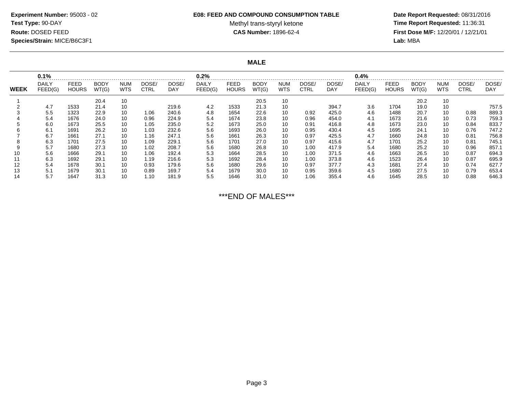# **Experiment Number:** 95003 - 02**Test Type:** 90-DAY**Route:** DOSED FEED**Species/Strain:** MICE/B6C3F1

#### **E08: FEED AND COMPOUND CONSUMPTION TABLE**

Methyl trans-styryl ketone<br>CAS Number: 1896-62-4

 **Date Report Requested:** 08/31/2016 **Time Report Requested:** 11:36:31 **First Dose M/F:** 12/20/01 / 12/21/01<br>Lab: MBA **Lab:** MBA

**MALE**

|             | 0.1%             |                      |                      |                          | 0.2%                 |              |                         |                      |                      | 0.4%              |               |              |                  |                             |                      |                          |                      |                     |
|-------------|------------------|----------------------|----------------------|--------------------------|----------------------|--------------|-------------------------|----------------------|----------------------|-------------------|---------------|--------------|------------------|-----------------------------|----------------------|--------------------------|----------------------|---------------------|
| <b>WEEK</b> | DAILY<br>FEED(G) | FEED<br><b>HOURS</b> | <b>BODY</b><br>WT(G) | <b>NUM</b><br><b>WTS</b> | DOSE/<br><b>CTRL</b> | DOSE/<br>DAY | <b>DAILY</b><br>FEED(G) | FEED<br><b>HOURS</b> | <b>BODY</b><br>WT(G) | <b>NUM</b><br>WTS | DOSE/<br>CTRL | DOSE/<br>DAY | DAILY<br>FEED(G) | <b>FEED</b><br><b>HOURS</b> | <b>BODY</b><br>WT(G) | <b>NUM</b><br><b>WTS</b> | DOSE/<br><b>CTRL</b> | DOSE/<br><b>DAY</b> |
|             |                  |                      | 20.4                 | 10                       |                      |              |                         |                      | 20.5                 | 10                |               |              |                  |                             | 20.2                 | 10                       |                      |                     |
|             | 4.7              | 1533                 | 21.4                 | 10                       |                      | 219.6        | 4.2                     | 1533                 | 21.3                 | 10                |               | 394.7        | 3.6              | 1704                        | 19.0                 | 10                       |                      | 757.5               |
|             | 5.5              | 1323                 | 22.9                 | 10                       | 1.06                 | 240.6        | 4.8                     | 1654                 | 22.6                 | 10                | 0.92          | 425.0        | 4.6              | 1488                        | 20.7                 | 10                       | 0.88                 | 889.3               |
|             | 5.4              | 1676                 | 24.0                 | 10                       | 0.96                 | 224.9        | 5.4                     | 1674                 | 23.8                 | 10                | 0.96          | 454.0        | 4.1              | 1673                        | 21.6                 | 10                       | 0.73                 | 759.3               |
|             | 6.0              | 1673                 | 25.5                 | 10                       | 1.05                 | 235.0        | 5.2                     | 1673                 | 25.0                 | 10                | 0.91          | 416.8        | 4.8              | 1673                        | 23.0                 | 10                       | 0.84                 | 833.7               |
|             | 6.1              | 1691                 | 26.2                 | 10                       | 1.03                 | 232.6        | 5.6                     | 1693                 | 26.0                 | 10                | 0.95          | 430.4        | 4.5              | 1695                        | 24.1                 | 10                       | 0.76                 | 747.2               |
|             | 6.7              | 1661                 | 27.1                 | 10                       | 1.16                 | 247.1        | 5.6                     | 1661                 | 26.3                 | 10                | 0.97          | 425.5        | 4.7              | 1660                        | 24.8                 | 10                       | 0.81                 | 756.8               |
|             | 6.3              | 1701                 | 27.5                 | 10                       | 1.09                 | 229.1        | 5.6                     | 1701                 | 27.0                 | 10                | 0.97          | 415.6        | 4.7              | 1701                        | 25.2                 | 10                       | 0.81                 | 745.1               |
|             | 5.7              | 1680                 | 27.3                 | 10                       | 1.02                 | 208.7        | 5.6                     | 1680                 | 26.8                 | 10                | 1.00          | 417.9        | 5.4              | 1680                        | 25.2                 | 10                       | 0.96                 | 857.1               |
|             | 5.6              | 1666                 | 29.7                 | 10                       | 1.06                 | 192.4        | 5.3                     | 1664                 | 28.5                 | 10                | 1.00          | 371.5        | 4.6              | 1663                        | 26.5                 | 10                       | 0.87                 | 694.3               |
|             | 6.3              | 1692                 | 29.7                 | 10                       | 1.19                 | 216.6        | 5.3                     | 1692                 | 28.4                 | 10                | 1.00          | 373.8        | 4.6              | 1523                        | 26.4                 | 10                       | 0.87                 | 695.9               |
| 12          | 5.4              | 1678                 | 30.7                 | 10                       | 0.93                 | 179.6        | 5.6                     | 1680                 | 29.6                 | 10                | 0.97          | 377.7        | 4.3              | 1681                        | 27.4                 | 10                       | 0.74                 | 627.7               |
|             | 5.1              | 1679                 | 30.1                 | 10                       | 0.89                 | 169.7        | 5.4                     | 1679                 | 30.0                 | 10                | 0.95          | 359.6        | 4.5              | 1680                        | 27.5                 | 10                       | 0.79                 | 653.4               |
|             | 5.7              | 1647                 | 31.3                 | 10                       | 1.10                 | 181.9        | 5.5                     | 1646                 | 31.0                 | 10                | 1.06          | 355.4        | 4.6              | 1645                        | 28.5                 | 10                       | 0.88                 | 646.3               |

\*\*\*END OF MALES\*\*\*

Page 3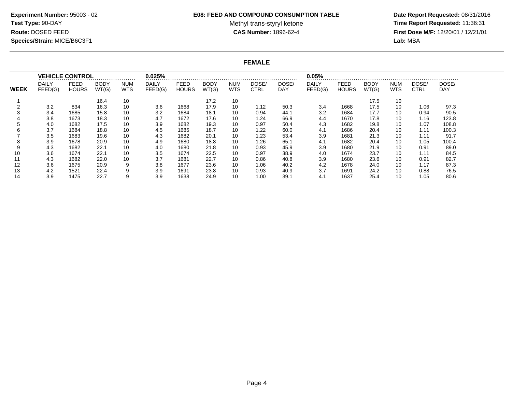#### **E08: FEED AND COMPOUND CONSUMPTION TABLE**

Methyl trans-styryl ketone<br>CAS Number: 1896-62-4

 **Date Report Requested:** 08/31/2016 **Time Report Requested:** 11:36:31 **First Dose M/F:** 12/20/01 / 12/21/01<br>**Lab:** MBA **Lab:** MBA

## **FEMALE**

|             |                         | <b>VEHICLE CONTROL</b>      |                      |                          | 0.025%                  |                             |                      |                    |                      | 0.05%        |                         |                      |                      |                          |                      |                     |  |
|-------------|-------------------------|-----------------------------|----------------------|--------------------------|-------------------------|-----------------------------|----------------------|--------------------|----------------------|--------------|-------------------------|----------------------|----------------------|--------------------------|----------------------|---------------------|--|
| <b>WEEK</b> | <b>DAILY</b><br>FEED(G) | <b>FEED</b><br><b>HOURS</b> | <b>BODY</b><br>WT(G) | <b>NUM</b><br><b>WTS</b> | <b>DAILY</b><br>FEED(G) | <b>FEED</b><br><b>HOURS</b> | <b>BODY</b><br>WT(G) | <b>NUM</b><br>WTS. | DOSE/<br><b>CTRL</b> | DOSE/<br>DAY | <b>DAILY</b><br>FEED(G) | FEED<br><b>HOURS</b> | <b>BODY</b><br>WT(G) | <b>NUM</b><br><b>WTS</b> | DOSE/<br><b>CTRL</b> | DOSE/<br><b>DAY</b> |  |
|             |                         |                             | 16.4                 | 10                       |                         |                             | 17.2                 | 10                 |                      |              |                         |                      | 17.5                 | 10                       |                      |                     |  |
|             | 3.2                     | 834                         | 16.3                 | 10                       | 3.6                     | 1668                        | 17.9                 | 10                 | 1.12                 | 50.3         | 3.4                     | 1668                 | 17.5                 | 10                       | 1.06                 | 97.3                |  |
|             | 3.4                     | 1685                        | 15.8                 | 10                       | 3.2                     | 1684                        | 18.1                 | 10                 | 0.94                 | 44.1         | 3.2                     | 1684                 | 17.7                 | 10                       | 0.94                 | 90.5                |  |
|             | 3.8                     | 1673                        | 18.3                 | 10                       | 4.7                     | 1672                        | 17.6                 | 10                 | 1.24                 | 66.9         | 4.4                     | 1670                 | 17.8                 | 10                       | 1.16                 | 123.8               |  |
|             | 4.0                     | 1682                        | 17.5                 | 10                       | 3.9                     | 1682                        | 19.3                 | 10                 | 0.97                 | 50.4         | 4.3                     | 1682                 | 19.8                 | 10                       | 1.07                 | 108.8               |  |
|             | 3.7                     | 1684                        | 18.8                 | 10                       | 4.5                     | 1685                        | 18.7                 | 10                 | 1.22                 | 60.0         | 4.1                     | 1686                 | 20.4                 | 10                       | 1.11                 | 100.3               |  |
|             | 3.5                     | 1683                        | 19.6                 | 10                       | 4.3                     | 1682                        | 20.1                 | 10                 | 1.23                 | 53.4         | 3.9                     | 1681                 | 21.3                 | 10                       | 1.11                 | 91.7                |  |
| 8           | 3.9                     | 1678                        | 20.9                 | 10                       | 4.9                     | 1680                        | 18.8                 | 10                 | 1.26                 | 65.1         | 4.1                     | 1682                 | 20.4                 | 10                       | 1.05                 | 100.4               |  |
| 9           | 4.3                     | 1682                        | 22.7                 | 10                       | 4.0                     | 1680                        | 21.8                 | 10                 | 0.93                 | 45.9         | 3.9                     | 1680                 | 21.9                 | 10                       | 0.91                 | 89.0                |  |
| 10          | 3.6                     | 1674                        | 22.7                 | 10                       | 3.5                     | 1674                        | 22.5                 | 10                 | 0.97                 | 38.9         | 4.0                     | 1674                 | 23.7                 | 10                       | 1.11                 | 84.5                |  |
|             | 4.3                     | 1682                        | 22.0                 | 10                       | 3.7                     | 1681                        | 22.7                 | 10                 | 0.86                 | 40.8         | 3.9                     | 1680                 | 23.6                 | 10                       | 0.91                 | 82.7                |  |
| 12          | 3.6                     | 1675                        | 20.9                 | 9                        | 3.8                     | 1677                        | 23.6                 | 10                 | 1.06                 | 40.2         | 4.2                     | 1678                 | 24.0                 | 10                       | 1.17                 | 87.3                |  |
| 13          | 4.2                     | 1521                        | 22.4                 |                          | 3.9                     | 1691                        | 23.8                 | 10                 | 0.93                 | 40.9         | 3.7                     | 1691                 | 24.2                 | 10                       | 0.88                 | 76.5                |  |
| 14          | 3.9                     | 1475                        | 22.7                 |                          | 3.9                     | 1638                        | 24.9                 | 10                 | 1.00                 | 39.1         | 4.1                     | 1637                 | 25.4                 | 10                       | 1.05                 | 80.6                |  |